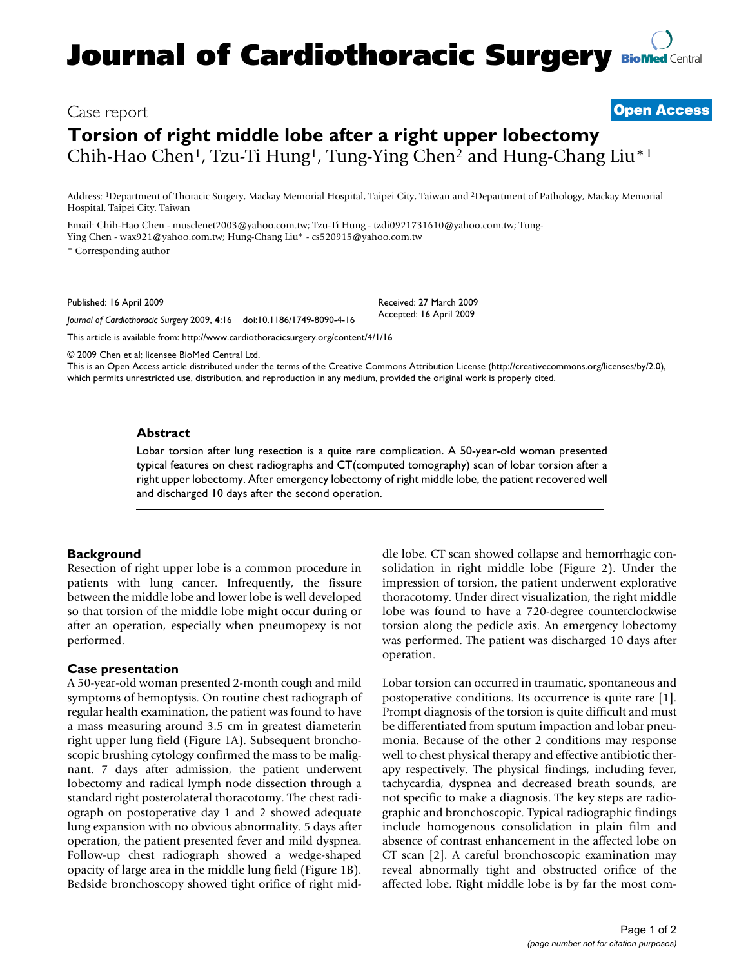# Case report **[Open Access](http://www.biomedcentral.com/info/about/charter/)**

# **Torsion of right middle lobe after a right upper lobectomy** Chih-Hao Chen1, Tzu-Ti Hung1, Tung-Ying Chen2 and Hung-Chang Liu\*1

Address: 1Department of Thoracic Surgery, Mackay Memorial Hospital, Taipei City, Taiwan and 2Department of Pathology, Mackay Memorial Hospital, Taipei City, Taiwan

Email: Chih-Hao Chen - musclenet2003@yahoo.com.tw; Tzu-Ti Hung - tzdi0921731610@yahoo.com.tw; Tung-Ying Chen - wax921@yahoo.com.tw; Hung-Chang Liu\* - cs520915@yahoo.com.tw

\* Corresponding author

Published: 16 April 2009

Received: 27 March 2009 Accepted: 16 April 2009

*Journal of Cardiothoracic Surgery* 2009, **4**:16 doi:10.1186/1749-8090-4-16

[This article is available from: http://www.cardiothoracicsurgery.org/content/4/1/16](http://www.cardiothoracicsurgery.org/content/4/1/16)

© 2009 Chen et al; licensee BioMed Central Ltd.

This is an Open Access article distributed under the terms of the Creative Commons Attribution License [\(http://creativecommons.org/licenses/by/2.0\)](http://creativecommons.org/licenses/by/2.0), which permits unrestricted use, distribution, and reproduction in any medium, provided the original work is properly cited.

#### **Abstract**

Lobar torsion after lung resection is a quite rare complication. A 50-year-old woman presented typical features on chest radiographs and CT(computed tomography) scan of lobar torsion after a right upper lobectomy. After emergency lobectomy of right middle lobe, the patient recovered well and discharged 10 days after the second operation.

## **Background**

Resection of right upper lobe is a common procedure in patients with lung cancer. Infrequently, the fissure between the middle lobe and lower lobe is well developed so that torsion of the middle lobe might occur during or after an operation, especially when pneumopexy is not performed.

#### **Case presentation**

A 50-year-old woman presented 2-month cough and mild symptoms of hemoptysis. On routine chest radiograph of regular health examination, the patient was found to have a mass measuring around 3.5 cm in greatest diameterin right upper lung field (Figure 1A). Subsequent bronchoscopic brushing cytology confirmed the mass to be malignant. 7 days after admission, the patient underwent lobectomy and radical lymph node dissection through a standard right posterolateral thoracotomy. The chest radiograph on postoperative day 1 and 2 showed adequate lung expansion with no obvious abnormality. 5 days after operation, the patient presented fever and mild dyspnea. Follow-up chest radiograph showed a wedge-shaped opacity of large area in the middle lung field (Figure 1B). Bedside bronchoscopy showed tight orifice of right middle lobe. CT scan showed collapse and hemorrhagic consolidation in right middle lobe (Figure 2). Under the impression of torsion, the patient underwent explorative thoracotomy. Under direct visualization, the right middle lobe was found to have a 720-degree counterclockwise torsion along the pedicle axis. An emergency lobectomy was performed. The patient was discharged 10 days after operation.

Lobar torsion can occurred in traumatic, spontaneous and postoperative conditions. Its occurrence is quite rare [1]. Prompt diagnosis of the torsion is quite difficult and must be differentiated from sputum impaction and lobar pneumonia. Because of the other 2 conditions may response well to chest physical therapy and effective antibiotic therapy respectively. The physical findings, including fever, tachycardia, dyspnea and decreased breath sounds, are not specific to make a diagnosis. The key steps are radiographic and bronchoscopic. Typical radiographic findings include homogenous consolidation in plain film and absence of contrast enhancement in the affected lobe on CT scan [2]. A careful bronchoscopic examination may reveal abnormally tight and obstructed orifice of the affected lobe. Right middle lobe is by far the most com-